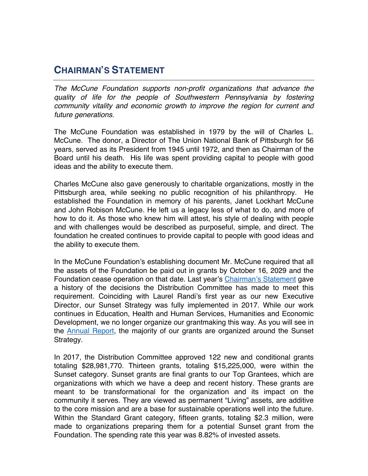## **CHAIRMAN'S STATEMENT**

*The McCune Foundation supports non-profit organizations that advance the quality of life for the people of Southwestern Pennsylvania by fostering community vitality and economic growth to improve the region for current and future generations.*

The McCune Foundation was established in 1979 by the will of Charles L. McCune. The donor, a Director of The Union National Bank of Pittsburgh for 56 years, served as its President from 1945 until 1972, and then as Chairman of the Board until his death. His life was spent providing capital to people with good ideas and the ability to execute them.

Charles McCune also gave generously to charitable organizations, mostly in the Pittsburgh area, while seeking no public recognition of his philanthropy. He established the Foundation in memory of his parents, Janet Lockhart McCune and John Robison McCune. He left us a legacy less of what to do, and more of how to do it. As those who knew him will attest, his style of dealing with people and with challenges would be described as purposeful, simple, and direct. The foundation he created continues to provide capital to people with good ideas and the ability to execute them.

In the McCune Foundation's establishing document Mr. McCune required that all the assets of the Foundation be paid out in grants by October 16, 2029 and the Foundation cease operation on that date. Last year's Chairman's Statement gave a history of the decisions the Distribution Committee has made to meet this requirement. Coinciding with Laurel Randi's first year as our new Executive Director, our Sunset Strategy was fully implemented in 2017. While our work continues in Education, Health and Human Services, Humanities and Economic Development, we no longer organize our grantmaking this way. As you will see in the Annual Report, the majority of our grants are organized around the Sunset Strategy.

In 2017, the Distribution Committee approved 122 new and conditional grants totaling \$28,981,770. Thirteen grants, totaling \$15,225,000, were within the Sunset category. Sunset grants are final grants to our Top Grantees, which are organizations with which we have a deep and recent history. These grants are meant to be transformational for the organization and its impact on the community it serves. They are viewed as permanent "Living" assets, are additive to the core mission and are a base for sustainable operations well into the future. Within the Standard Grant category, fifteen grants, totaling \$2.3 million, were made to organizations preparing them for a potential Sunset grant from the Foundation. The spending rate this year was 8.82% of invested assets.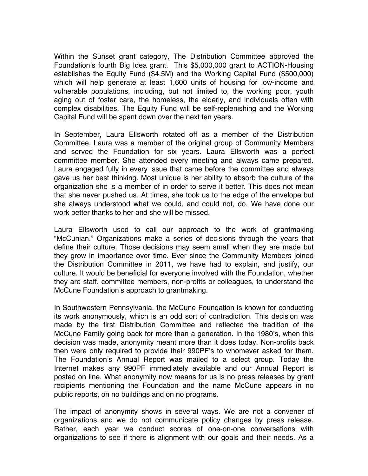Within the Sunset grant category, The Distribution Committee approved the Foundation's fourth Big Idea grant. This \$5,000,000 grant to ACTION-Housing establishes the Equity Fund (\$4.5M) and the Working Capital Fund (\$500,000) which will help generate at least 1,600 units of housing for low-income and vulnerable populations, including, but not limited to, the working poor, youth aging out of foster care, the homeless, the elderly, and individuals often with complex disabilities. The Equity Fund will be self-replenishing and the Working Capital Fund will be spent down over the next ten years.

In September, Laura Ellsworth rotated off as a member of the Distribution Committee. Laura was a member of the original group of Community Members and served the Foundation for six years. Laura Ellsworth was a perfect committee member. She attended every meeting and always came prepared. Laura engaged fully in every issue that came before the committee and always gave us her best thinking. Most unique is her ability to absorb the culture of the organization she is a member of in order to serve it better. This does not mean that she never pushed us. At times, she took us to the edge of the envelope but she always understood what we could, and could not, do. We have done our work better thanks to her and she will be missed.

Laura Ellsworth used to call our approach to the work of grantmaking "McCunian." Organizations make a series of decisions through the years that define their culture. Those decisions may seem small when they are made but they grow in importance over time. Ever since the Community Members joined the Distribution Committee in 2011, we have had to explain, and justify, our culture. It would be beneficial for everyone involved with the Foundation, whether they are staff, committee members, non-profits or colleagues, to understand the McCune Foundation's approach to grantmaking.

In Southwestern Pennsylvania, the McCune Foundation is known for conducting its work anonymously, which is an odd sort of contradiction. This decision was made by the first Distribution Committee and reflected the tradition of the McCune Family going back for more than a generation. In the 1980's, when this decision was made, anonymity meant more than it does today. Non-profits back then were only required to provide their 990PF's to whomever asked for them. The Foundation's Annual Report was mailed to a select group. Today the Internet makes any 990PF immediately available and our Annual Report is posted on line. What anonymity now means for us is no press releases by grant recipients mentioning the Foundation and the name McCune appears in no public reports, on no buildings and on no programs.

The impact of anonymity shows in several ways. We are not a convener of organizations and we do not communicate policy changes by press release. Rather, each year we conduct scores of one-on-one conversations with organizations to see if there is alignment with our goals and their needs. As a